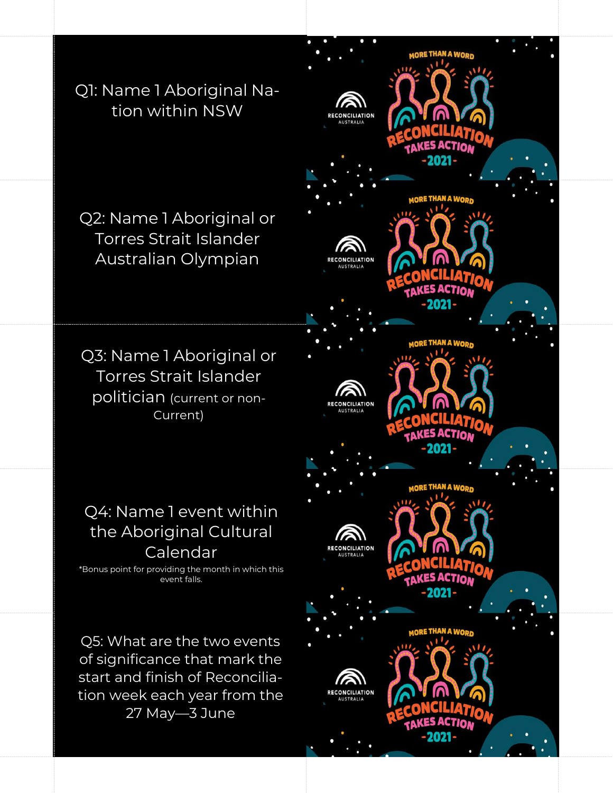Q1: Name 1 Aboriginal Nation within NSW

Q2: Name 1 Aboriginal or Torres Strait Islander Australian Olympian

Q3: Name 1 Aboriginal or Torres Strait Islander politician (current or non-Current)

## Q4: Name 1 event within the Aboriginal Cultural Calendar

\*Bonus point for providing the month in which this event falls.

Q5: What are the two events of significance that mark the start and finish of Reconciliation week each year from the 27 May—3 June

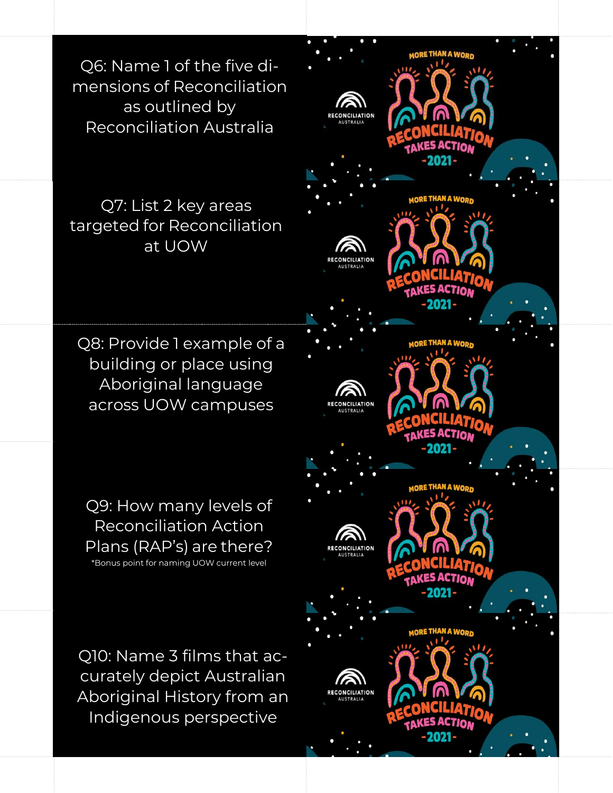Q6: Name 1 of the five dimensions of Reconciliation as outlined by Reconciliation Australia

Q7: List 2 key areas targeted for Reconciliation at UOW

Q8: Provide 1 example of a building or place using Aboriginal language across UOW campuses

Q9: How many levels of Reconciliation Action Plans (RAP's) are there? \*Bonus point for naming UOW current level

Q10: Name 3 films that accurately depict Australian Aboriginal History from an Indigenous perspective

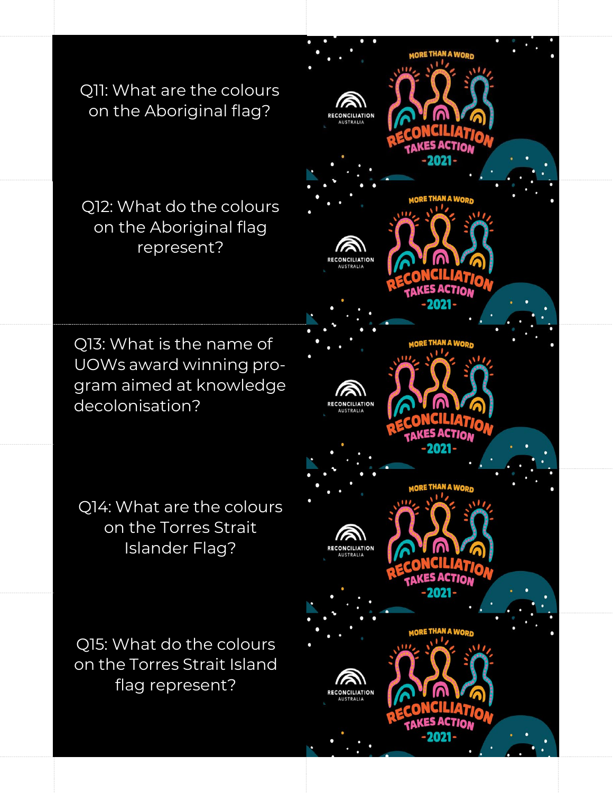Q11: What are the colours on the Aboriginal flag?

Q12: What do the colours on the Aboriginal flag represent?

Q13: What is the name of UOWs award winning program aimed at knowledge decolonisation?

Q14: What are the colours on the Torres Strait Islander Flag?

Q15: What do the colours on the Torres Strait Island flag represent?

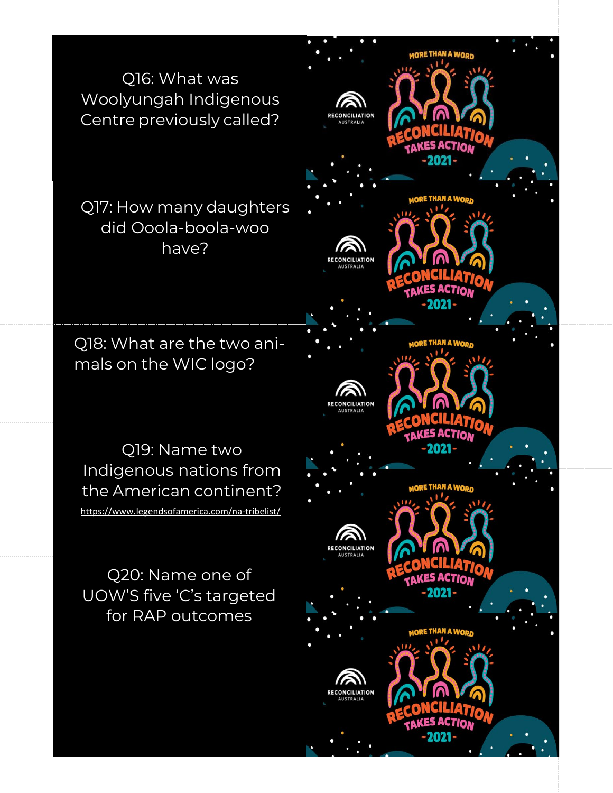Q16: What was Woolyungah Indigenous Centre previously called?

Q17: How many daughters did Ooola-boola-woo have?

Q18: What are the two animals on the WIC logo?

Q19: Name two Indigenous nations from the American continent? <https://www.legendsofamerica.com/na-tribelist/>

Q20: Name one of UOW'S five 'C's targeted for RAP outcomes

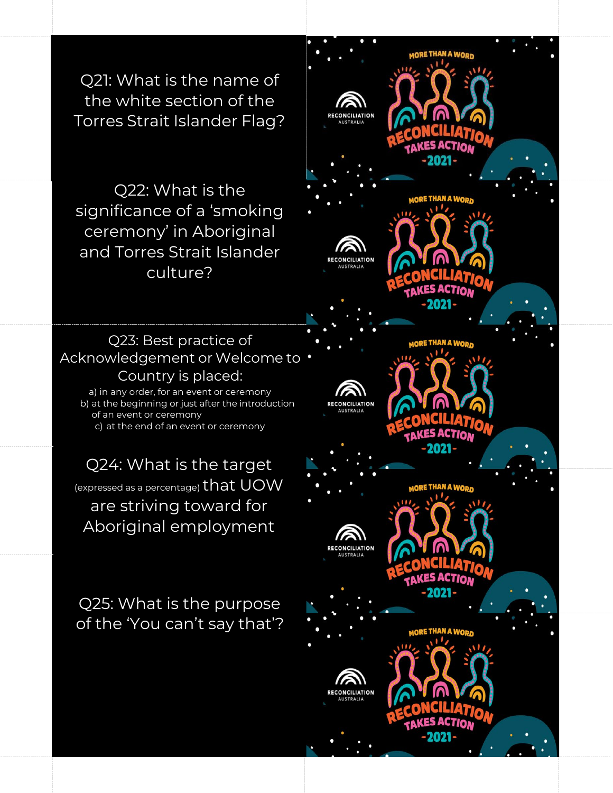Q21: What is the name of the white section of the Torres Strait Islander Flag?

Q22: What is the significance of a 'smoking ceremony' in Aboriginal and Torres Strait Islander culture?

## Q23: Best practice of Acknowledgement or Welcome to Country is placed: a) in any order, for an event or ceremony

b) at the beginning or just after the introduction of an event or ceremony c) at the end of an event or ceremony

Q24: What is the target (expressed as <sup>a</sup> percentage) that UOW are striving toward for Aboriginal employment

Q25: What is the purpose of the 'You can't say that'?